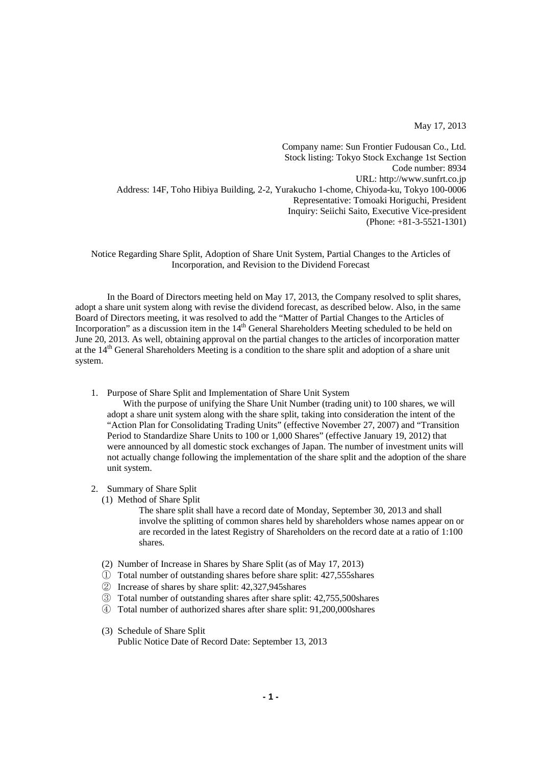May 17, 2013

Company name: Sun Frontier Fudousan Co., Ltd. Stock listing: Tokyo Stock Exchange 1st Section Code number: 8934 URL: http://www.sunfrt.co.jp Address: 14F, Toho Hibiya Building, 2-2, Yurakucho 1-chome, Chiyoda-ku, Tokyo 100-0006 Representative: Tomoaki Horiguchi, President Inquiry: Seiichi Saito, Executive Vice-president (Phone: +81-3-5521-1301)

Notice Regarding Share Split, Adoption of Share Unit System, Partial Changes to the Articles of Incorporation, and Revision to the Dividend Forecast

 In the Board of Directors meeting held on May 17, 2013, the Company resolved to split shares, adopt a share unit system along with revise the dividend forecast, as described below. Also, in the same Board of Directors meeting, it was resolved to add the "Matter of Partial Changes to the Articles of Incorporation" as a discussion item in the 14<sup>th</sup> General Shareholders Meeting scheduled to be held on June 20, 2013. As well, obtaining approval on the partial changes to the articles of incorporation matter at the 14th General Shareholders Meeting is a condition to the share split and adoption of a share unit system.

1. Purpose of Share Split and Implementation of Share Unit System

With the purpose of unifying the Share Unit Number (trading unit) to 100 shares, we will adopt a share unit system along with the share split, taking into consideration the intent of the "Action Plan for Consolidating Trading Units" (effective November 27, 2007) and "Transition Period to Standardize Share Units to 100 or 1,000 Shares" (effective January 19, 2012) that were announced by all domestic stock exchanges of Japan. The number of investment units will not actually change following the implementation of the share split and the adoption of the share unit system.

- 2. Summary of Share Split
	- (1) Method of Share Split

The share split shall have a record date of Monday, September 30, 2013 and shall involve the splitting of common shares held by shareholders whose names appear on or are recorded in the latest Registry of Shareholders on the record date at a ratio of 1:100 shares.

- (2) Number of Increase in Shares by Share Split (as of May 17, 2013)
- ① Total number of outstanding shares before share split: 427,555shares
- ② Increase of shares by share split: 42,327,945shares
- ③ Total number of outstanding shares after share split: 42,755,500shares
- ④ Total number of authorized shares after share split: 91,200,000shares
- (3) Schedule of Share Split Public Notice Date of Record Date: September 13, 2013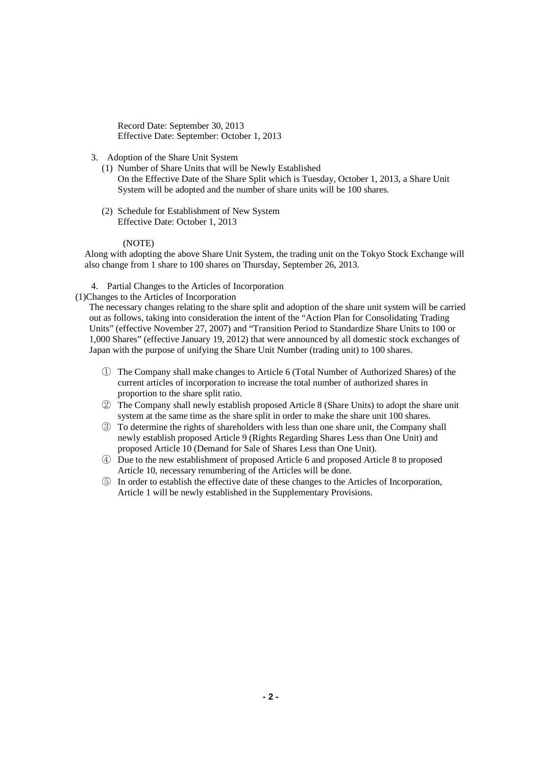Record Date: September 30, 2013 Effective Date: September: October 1, 2013

- 3. Adoption of the Share Unit System
	- (1) Number of Share Units that will be Newly Established On the Effective Date of the Share Split which is Tuesday, October 1, 2013, a Share Unit System will be adopted and the number of share units will be 100 shares.
	- (2) Schedule for Establishment of New System Effective Date: October 1, 2013

## (NOTE)

Along with adopting the above Share Unit System, the trading unit on the Tokyo Stock Exchange will also change from 1 share to 100 shares on Thursday, September 26, 2013.

4. Partial Changes to the Articles of Incorporation

(1)Changes to the Articles of Incorporation

The necessary changes relating to the share split and adoption of the share unit system will be carried out as follows, taking into consideration the intent of the "Action Plan for Consolidating Trading Units" (effective November 27, 2007) and "Transition Period to Standardize Share Units to 100 or 1,000 Shares" (effective January 19, 2012) that were announced by all domestic stock exchanges of Japan with the purpose of unifying the Share Unit Number (trading unit) to 100 shares.

- ① The Company shall make changes to Article 6 (Total Number of Authorized Shares) of the current articles of incorporation to increase the total number of authorized shares in proportion to the share split ratio.
- ② The Company shall newly establish proposed Article 8 (Share Units) to adopt the share unit system at the same time as the share split in order to make the share unit 100 shares.
- ③ To determine the rights of shareholders with less than one share unit, the Company shall newly establish proposed Article 9 (Rights Regarding Shares Less than One Unit) and proposed Article 10 (Demand for Sale of Shares Less than One Unit).
- ④ Due to the new establishment of proposed Article 6 and proposed Article 8 to proposed Article 10, necessary renumbering of the Articles will be done.
- ⑤ In order to establish the effective date of these changes to the Articles of Incorporation, Article 1 will be newly established in the Supplementary Provisions.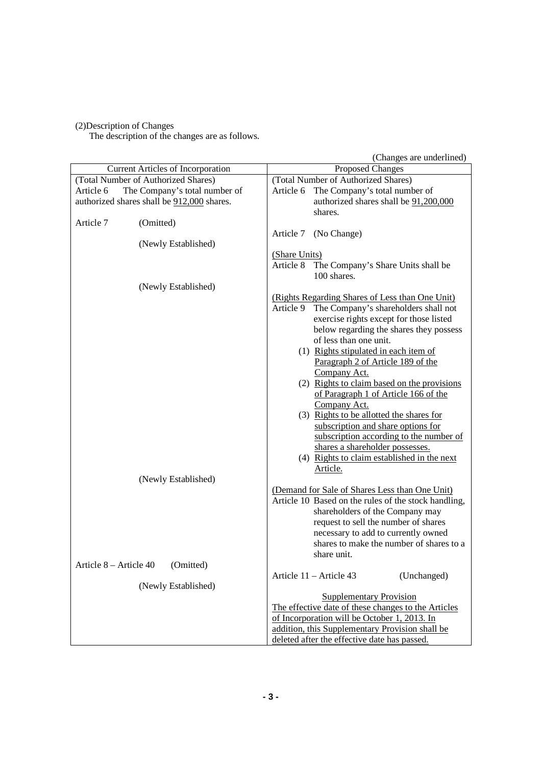## (2)Description of Changes

The description of the changes are as follows.

|                                            | (Changes are underlined)                                          |  |  |  |
|--------------------------------------------|-------------------------------------------------------------------|--|--|--|
| <b>Current Articles of Incorporation</b>   | <b>Proposed Changes</b>                                           |  |  |  |
| (Total Number of Authorized Shares)        | (Total Number of Authorized Shares)                               |  |  |  |
| Article 6<br>The Company's total number of | The Company's total number of<br>Article 6                        |  |  |  |
| authorized shares shall be 912,000 shares. | authorized shares shall be 91,200,000                             |  |  |  |
|                                            | shares.                                                           |  |  |  |
| Article 7<br>(Omitted)                     |                                                                   |  |  |  |
|                                            | Article 7<br>(No Change)                                          |  |  |  |
| (Newly Established)                        |                                                                   |  |  |  |
|                                            | (Share Units)                                                     |  |  |  |
|                                            | Article 8<br>The Company's Share Units shall be                   |  |  |  |
|                                            | 100 shares.                                                       |  |  |  |
| (Newly Established)                        |                                                                   |  |  |  |
|                                            | (Rights Regarding Shares of Less than One Unit)                   |  |  |  |
|                                            | Article 9 The Company's shareholders shall not                    |  |  |  |
|                                            | exercise rights except for those listed                           |  |  |  |
|                                            | below regarding the shares they possess<br>of less than one unit. |  |  |  |
|                                            | (1) Rights stipulated in each item of                             |  |  |  |
|                                            | Paragraph 2 of Article 189 of the                                 |  |  |  |
|                                            | Company Act.                                                      |  |  |  |
|                                            | (2) Rights to claim based on the provisions                       |  |  |  |
|                                            | of Paragraph 1 of Article 166 of the                              |  |  |  |
|                                            | Company Act.                                                      |  |  |  |
|                                            | (3) Rights to be allotted the shares for                          |  |  |  |
|                                            | subscription and share options for                                |  |  |  |
|                                            | subscription according to the number of                           |  |  |  |
|                                            | shares a shareholder possesses.                                   |  |  |  |
|                                            | (4) Rights to claim established in the next                       |  |  |  |
|                                            | Article.                                                          |  |  |  |
| (Newly Established)                        |                                                                   |  |  |  |
|                                            | (Demand for Sale of Shares Less than One Unit)                    |  |  |  |
|                                            | Article 10 Based on the rules of the stock handling,              |  |  |  |
|                                            | shareholders of the Company may                                   |  |  |  |
|                                            | request to sell the number of shares                              |  |  |  |
|                                            | necessary to add to currently owned                               |  |  |  |
|                                            | shares to make the number of shares to a                          |  |  |  |
|                                            | share unit.                                                       |  |  |  |
| Article 8 - Article 40<br>(Omitted)        |                                                                   |  |  |  |
|                                            | Article 11 – Article 43<br>(Unchanged)                            |  |  |  |
| (Newly Established)                        |                                                                   |  |  |  |
|                                            | <b>Supplementary Provision</b>                                    |  |  |  |
|                                            | The effective date of these changes to the Articles               |  |  |  |
|                                            | of Incorporation will be October 1, 2013. In                      |  |  |  |
|                                            | addition, this Supplementary Provision shall be                   |  |  |  |
|                                            | deleted after the effective date has passed.                      |  |  |  |